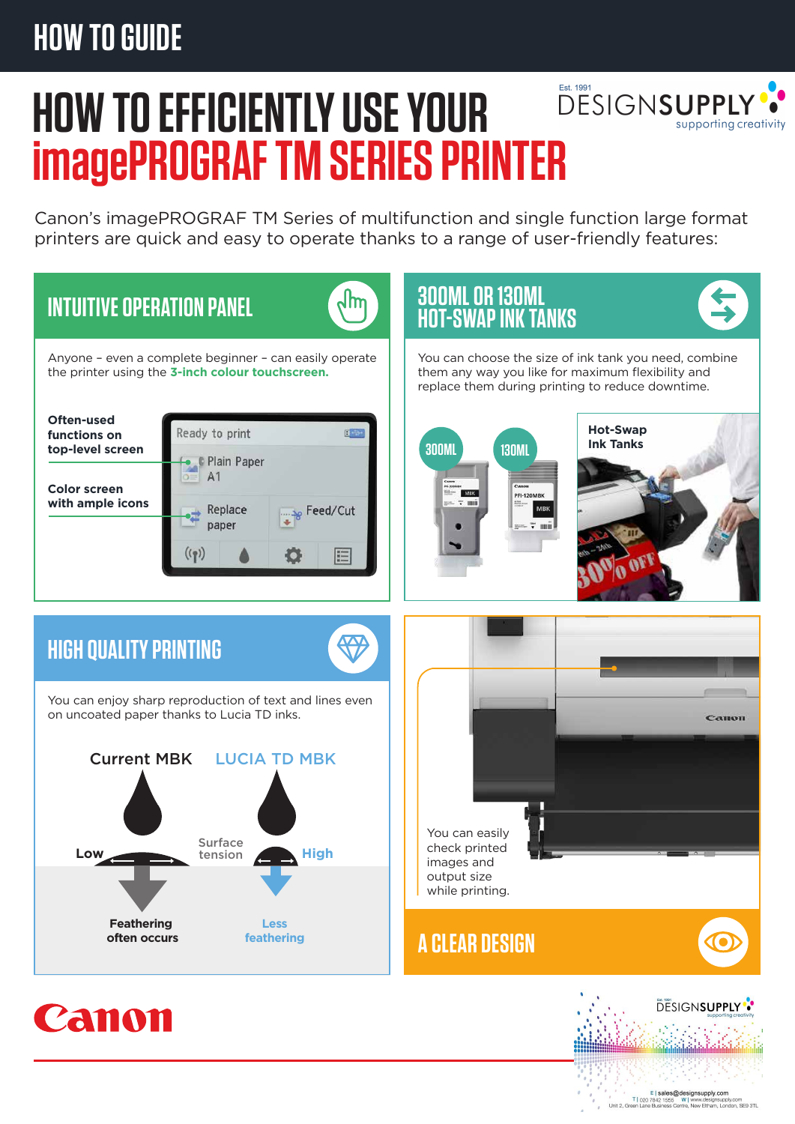## **HOW TO GUIDE**



# **HOW TO EFFICIENTLY USE YOUR imagePROGRAF TM SERIES PRINTER**

Canon's imagePROGRAF TM Series of multifunction and single function large format printers are quick and easy to operate thanks to a range of user-friendly features: